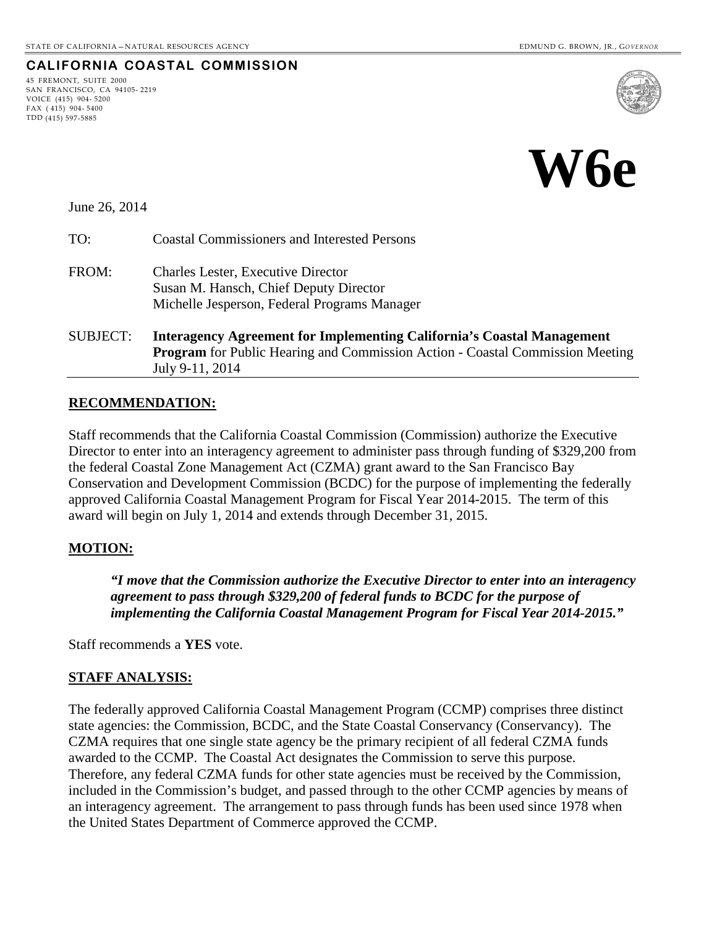### **CALIFORNIA COASTAL COMMISSION**

45 FREMONT, SUITE 2000 SAN FRANCISCO, CA 94105- 2219 VOICE (415) 904- 5200 FAX ( 415) 904- 5400 TDD (415) 597-5885





June 26, 2014

TO: Coastal Commissioners and Interested Persons

- FROM: Charles Lester, Executive Director Susan M. Hansch, Chief Deputy Director Michelle Jesperson, Federal Programs Manager
- SUBJECT: **Interagency Agreement for Implementing California's Coastal Management Program** for Public Hearing and Commission Action - Coastal Commission Meeting July 9-11, 2014

#### **RECOMMENDATION:**

Staff recommends that the California Coastal Commission (Commission) authorize the Executive Director to enter into an interagency agreement to administer pass through funding of \$329,200 from the federal Coastal Zone Management Act (CZMA) grant award to the San Francisco Bay Conservation and Development Commission (BCDC) for the purpose of implementing the federally approved California Coastal Management Program for Fiscal Year 2014-2015. The term of this award will begin on July 1, 2014 and extends through December 31, 2015.

### **MOTION:**

*"I move that the Commission authorize the Executive Director to enter into an interagency agreement to pass through \$329,200 of federal funds to BCDC for the purpose of implementing the California Coastal Management Program for Fiscal Year 2014-2015."*

Staff recommends a **YES** vote.

### **STAFF ANALYSIS:**

The federally approved California Coastal Management Program (CCMP) comprises three distinct state agencies: the Commission, BCDC, and the State Coastal Conservancy (Conservancy). The CZMA requires that one single state agency be the primary recipient of all federal CZMA funds awarded to the CCMP. The Coastal Act designates the Commission to serve this purpose. Therefore, any federal CZMA funds for other state agencies must be received by the Commission, included in the Commission's budget, and passed through to the other CCMP agencies by means of an interagency agreement. The arrangement to pass through funds has been used since 1978 when the United States Department of Commerce approved the CCMP.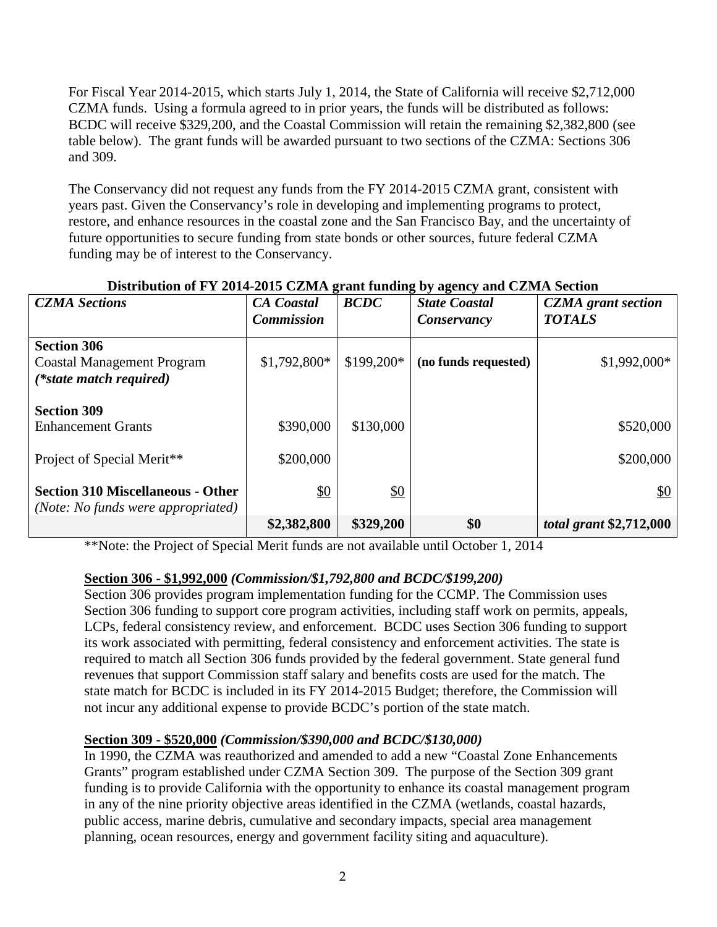For Fiscal Year 2014-2015, which starts July 1, 2014, the State of California will receive \$2,712,000 CZMA funds. Using a formula agreed to in prior years, the funds will be distributed as follows: BCDC will receive \$329,200, and the Coastal Commission will retain the remaining \$2,382,800 (see table below).The grant funds will be awarded pursuant to two sections of the CZMA: Sections 306 and 309.

The Conservancy did not request any funds from the FY 2014-2015 CZMA grant, consistent with years past. Given the Conservancy's role in developing and implementing programs to protect, restore, and enhance resources in the coastal zone and the San Francisco Bay, and the uncertainty of future opportunities to secure funding from state bonds or other sources, future federal CZMA funding may be of interest to the Conservancy.

| <b>CZMA</b> Sections                                                               | <b>CA</b> Coastal<br><b>Commission</b> | <b>BCDC</b>       | , ~, ~,----, <del>~</del><br><b>State Coastal</b><br>Conservancy | <b>CZMA</b> grant section<br><b>TOTALS</b> |
|------------------------------------------------------------------------------------|----------------------------------------|-------------------|------------------------------------------------------------------|--------------------------------------------|
| <b>Section 306</b><br><b>Coastal Management Program</b><br>(*state match required) | $$1,792,800*$                          | \$199,200*        | (no funds requested)                                             | $$1,992,000*$                              |
| <b>Section 309</b><br><b>Enhancement Grants</b><br>Project of Special Merit**      | \$390,000<br>\$200,000                 | \$130,000         |                                                                  | \$520,000<br>\$200,000                     |
| <b>Section 310 Miscellaneous - Other</b><br>(Note: No funds were appropriated)     | $\underline{\$0}$                      | $\underline{\$0}$ |                                                                  | <u>\$0</u>                                 |
|                                                                                    | \$2,382,800                            | \$329,200         | \$0                                                              | <i>total grant</i> \$2,712,000             |

# **Distribution of FY 2014-2015 CZMA grant funding by agency and CZMA Section**

\*\*Note: the Project of Special Merit funds are not available until October 1, 2014

# **Section 306 - \$1,992,000** *(Commission/\$1,792,800 and BCDC/\$199,200)*

Section 306 provides program implementation funding for the CCMP. The Commission uses Section 306 funding to support core program activities, including staff work on permits, appeals, LCPs, federal consistency review, and enforcement. BCDC uses Section 306 funding to support its work associated with permitting, federal consistency and enforcement activities. The state is required to match all Section 306 funds provided by the federal government. State general fund revenues that support Commission staff salary and benefits costs are used for the match. The state match for BCDC is included in its FY 2014-2015 Budget; therefore, the Commission will not incur any additional expense to provide BCDC's portion of the state match.

# **Section 309 - \$520,000** *(Commission/\$390,000 and BCDC/\$130,000)*

In 1990, the CZMA was reauthorized and amended to add a new "Coastal Zone Enhancements Grants" program established under CZMA Section 309. The purpose of the Section 309 grant funding is to provide California with the opportunity to enhance its coastal management program in any of the nine priority objective areas identified in the CZMA (wetlands, coastal hazards, public access, marine debris, cumulative and secondary impacts, special area management planning, ocean resources, energy and government facility siting and aquaculture).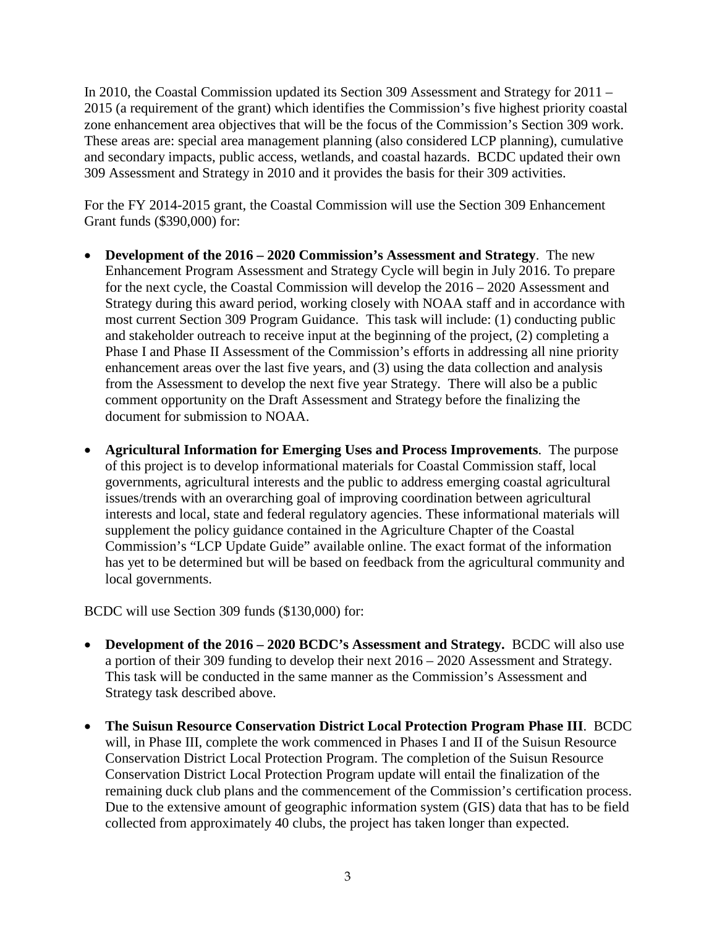In 2010, the Coastal Commission updated its Section 309 Assessment and Strategy for 2011 – 2015 (a requirement of the grant) which identifies the Commission's five highest priority coastal zone enhancement area objectives that will be the focus of the Commission's Section 309 work. These areas are: special area management planning (also considered LCP planning), cumulative and secondary impacts, public access, wetlands, and coastal hazards. BCDC updated their own 309 Assessment and Strategy in 2010 and it provides the basis for their 309 activities.

For the FY 2014-2015 grant, the Coastal Commission will use the Section 309 Enhancement Grant funds (\$390,000) for:

- **Development of the 2016 – 2020 Commission's Assessment and Strategy**. The new Enhancement Program Assessment and Strategy Cycle will begin in July 2016. To prepare for the next cycle, the Coastal Commission will develop the 2016 – 2020 Assessment and Strategy during this award period, working closely with NOAA staff and in accordance with most current Section 309 Program Guidance. This task will include: (1) conducting public and stakeholder outreach to receive input at the beginning of the project, (2) completing a Phase I and Phase II Assessment of the Commission's efforts in addressing all nine priority enhancement areas over the last five years, and (3) using the data collection and analysis from the Assessment to develop the next five year Strategy. There will also be a public comment opportunity on the Draft Assessment and Strategy before the finalizing the document for submission to NOAA.
- **Agricultural Information for Emerging Uses and Process Improvements**. The purpose of this project is to develop informational materials for Coastal Commission staff, local governments, agricultural interests and the public to address emerging coastal agricultural issues/trends with an overarching goal of improving coordination between agricultural interests and local, state and federal regulatory agencies. These informational materials will supplement the policy guidance contained in the Agriculture Chapter of the Coastal Commission's "LCP Update Guide" available online. The exact format of the information has yet to be determined but will be based on feedback from the agricultural community and local governments.

BCDC will use Section 309 funds (\$130,000) for:

- **Development of the 2016 2020 BCDC's Assessment and Strategy.** BCDC will also use a portion of their 309 funding to develop their next 2016 – 2020 Assessment and Strategy. This task will be conducted in the same manner as the Commission's Assessment and Strategy task described above.
- **The Suisun Resource Conservation District Local Protection Program Phase III**. BCDC will, in Phase III, complete the work commenced in Phases I and II of the Suisun Resource Conservation District Local Protection Program. The completion of the Suisun Resource Conservation District Local Protection Program update will entail the finalization of the remaining duck club plans and the commencement of the Commission's certification process. Due to the extensive amount of geographic information system (GIS) data that has to be field collected from approximately 40 clubs, the project has taken longer than expected.